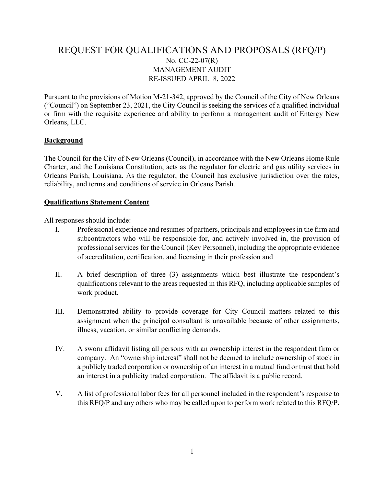# REQUEST FOR QUALIFICATIONS AND PROPOSALS (RFQ/P) No. CC-22-07(R) MANAGEMENT AUDIT RE-ISSUED APRIL 8, 2022

Pursuant to the provisions of Motion M-21-342, approved by the Council of the City of New Orleans ("Council") on September 23, 2021, the City Council is seeking the services of a qualified individual or firm with the requisite experience and ability to perform a management audit of Entergy New Orleans, LLC.

### Background

The Council for the City of New Orleans (Council), in accordance with the New Orleans Home Rule Charter, and the Louisiana Constitution, acts as the regulator for electric and gas utility services in Orleans Parish, Louisiana. As the regulator, the Council has exclusive jurisdiction over the rates, reliability, and terms and conditions of service in Orleans Parish.

#### Qualifications Statement Content

All responses should include:

- I. Professional experience and resumes of partners, principals and employees in the firm and subcontractors who will be responsible for, and actively involved in, the provision of professional services for the Council (Key Personnel), including the appropriate evidence of accreditation, certification, and licensing in their profession and
- II. A brief description of three (3) assignments which best illustrate the respondent's qualifications relevant to the areas requested in this RFQ, including applicable samples of work product.
- III. Demonstrated ability to provide coverage for City Council matters related to this assignment when the principal consultant is unavailable because of other assignments, illness, vacation, or similar conflicting demands.
- IV. A sworn affidavit listing all persons with an ownership interest in the respondent firm or company. An "ownership interest" shall not be deemed to include ownership of stock in a publicly traded corporation or ownership of an interest in a mutual fund or trust that hold an interest in a publicity traded corporation. The affidavit is a public record.
- V. A list of professional labor fees for all personnel included in the respondent's response to this RFQ/P and any others who may be called upon to perform work related to this RFQ/P.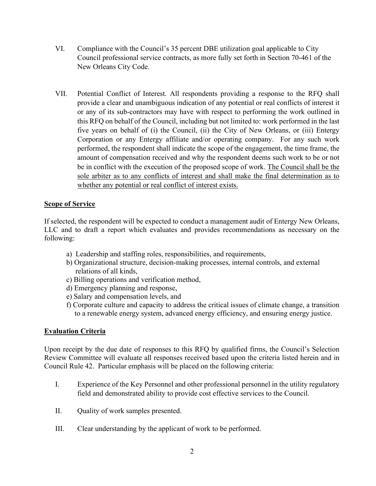- VI. Compliance with the Council's 35 percent DBE utilization goal applicable to City Council professional service contracts, as more fully set forth in Section 70-461 of the New Orleans City Code.
- VII. Potential Conflict of Interest. All respondents providing a response to the RFQ shall provide a clear and unambiguous indication of any potential or real conflicts of interest it or any of its sub-contractors may have with respect to performing the work outlined in this RFQ on behalf of the Council, including but not limited to: work performed in the last five years on behalf of (i) the Council, (ii) the City of New Orleans, or (iii) Entergy Corporation or any Entergy affiliate and/or operating company. For any such work performed, the respondent shall indicate the scope of the engagement, the time frame, the amount of compensation received and why the respondent deems such work to be or not be in conflict with the execution of the proposed scope of work. The Council shall be the sole arbiter as to any conflicts of interest and shall make the final determination as to whether any potential or real conflict of interest exists.

# **Scope of Service**

If selected, the respondent will be expected to conduct a management audit of Entergy New Orleans, LLC and to draft a report which evaluates and provides recommendations as necessary on the following:

- a) Leadership and staffing roles, responsibilities, and requirements,
- b) Organizational structure, decision-making processes, internal controls, and external relations of all kinds,
- c) Billing operations and verification method,
- d) Emergency planning and response,
- e) Salary and compensation levels, and
- f) Corporate culture and capacity to address the critical issues of climate change, a transition to a renewable energy system, advanced energy efficiency, and ensuring energy justice.

# Evaluation Criteria

Upon receipt by the due date of responses to this RFQ by qualified firms, the Council's Selection Review Committee will evaluate all responses received based upon the criteria listed herein and in Council Rule 42. Particular emphasis will be placed on the following criteria:

- I. Experience of the Key Personnel and other professional personnel in the utility regulatory field and demonstrated ability to provide cost effective services to the Council.
- II. Quality of work samples presented.
- III. Clear understanding by the applicant of work to be performed.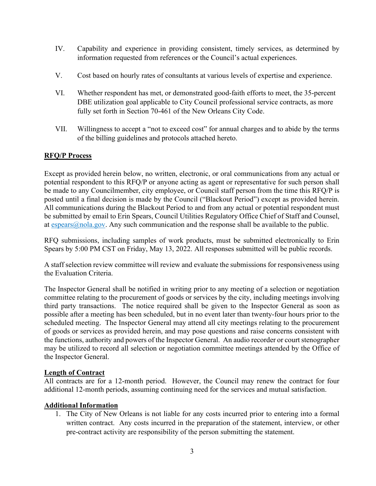- IV. Capability and experience in providing consistent, timely services, as determined by information requested from references or the Council's actual experiences.
- V. Cost based on hourly rates of consultants at various levels of expertise and experience.
- VI. Whether respondent has met, or demonstrated good-faith efforts to meet, the 35-percent DBE utilization goal applicable to City Council professional service contracts, as more fully set forth in Section 70-461 of the New Orleans City Code.
- VII. Willingness to accept a "not to exceed cost" for annual charges and to abide by the terms of the billing guidelines and protocols attached hereto.

# RFQ/P Process

Except as provided herein below, no written, electronic, or oral communications from any actual or potential respondent to this RFQ/P or anyone acting as agent or representative for such person shall be made to any Councilmember, city employee, or Council staff person from the time this RFQ/P is posted until a final decision is made by the Council ("Blackout Period") except as provided herein. All communications during the Blackout Period to and from any actual or potential respondent must be submitted by email to Erin Spears, Council Utilities Regulatory Office Chief of Staff and Counsel, at espears@nola.gov. Any such communication and the response shall be available to the public.

RFQ submissions, including samples of work products, must be submitted electronically to Erin Spears by 5:00 PM CST on Friday, May 13, 2022. All responses submitted will be public records.

A staff selection review committee will review and evaluate the submissions for responsiveness using the Evaluation Criteria.

The Inspector General shall be notified in writing prior to any meeting of a selection or negotiation committee relating to the procurement of goods or services by the city, including meetings involving third party transactions. The notice required shall be given to the Inspector General as soon as possible after a meeting has been scheduled, but in no event later than twenty-four hours prior to the scheduled meeting. The Inspector General may attend all city meetings relating to the procurement of goods or services as provided herein, and may pose questions and raise concerns consistent with the functions, authority and powers of the Inspector General. An audio recorder or court stenographer may be utilized to record all selection or negotiation committee meetings attended by the Office of the Inspector General.

# Length of Contract

All contracts are for a 12-month period. However, the Council may renew the contract for four additional 12-month periods, assuming continuing need for the services and mutual satisfaction.

# Additional Information

1. The City of New Orleans is not liable for any costs incurred prior to entering into a formal written contract. Any costs incurred in the preparation of the statement, interview, or other pre-contract activity are responsibility of the person submitting the statement.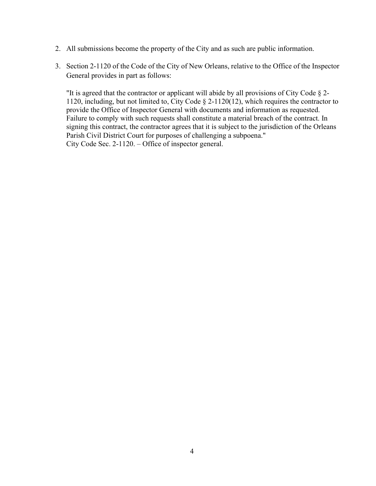- 2. All submissions become the property of the City and as such are public information.
- 3. Section 2-1120 of the Code of the City of New Orleans, relative to the Office of the Inspector General provides in part as follows:

"It is agreed that the contractor or applicant will abide by all provisions of City Code § 2- 1120, including, but not limited to, City Code § 2-1120(12), which requires the contractor to provide the Office of Inspector General with documents and information as requested. Failure to comply with such requests shall constitute a material breach of the contract. In signing this contract, the contractor agrees that it is subject to the jurisdiction of the Orleans Parish Civil District Court for purposes of challenging a subpoena." City Code Sec. 2-1120. – Office of inspector general.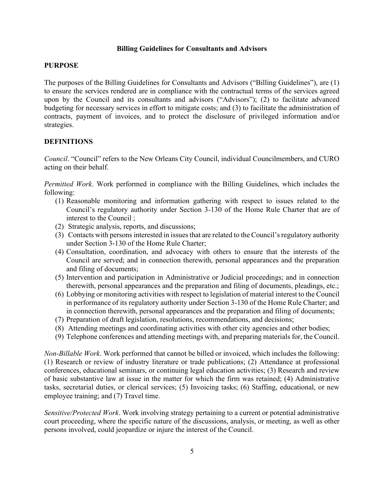### Billing Guidelines for Consultants and Advisors

#### PURPOSE

The purposes of the Billing Guidelines for Consultants and Advisors ("Billing Guidelines"), are (1) to ensure the services rendered are in compliance with the contractual terms of the services agreed upon by the Council and its consultants and advisors ("Advisors"); (2) to facilitate advanced budgeting for necessary services in effort to mitigate costs; and (3) to facilitate the administration of contracts, payment of invoices, and to protect the disclosure of privileged information and/or strategies.

### **DEFINITIONS**

Council. "Council" refers to the New Orleans City Council, individual Councilmembers, and CURO acting on their behalf.

Permitted Work. Work performed in compliance with the Billing Guidelines, which includes the following:

- (1) Reasonable monitoring and information gathering with respect to issues related to the Council's regulatory authority under Section 3-130 of the Home Rule Charter that are of interest to the Council ;
- (2) Strategic analysis, reports, and discussions;
- (3) Contacts with persons interested in issues that are related to the Council's regulatory authority under Section 3-130 of the Home Rule Charter;
- (4) Consultation, coordination, and advocacy with others to ensure that the interests of the Council are served; and in connection therewith, personal appearances and the preparation and filing of documents;
- (5) Intervention and participation in Administrative or Judicial proceedings; and in connection therewith, personal appearances and the preparation and filing of documents, pleadings, etc.;
- (6) Lobbying or monitoring activities with respect to legislation of material interest to the Council in performance of its regulatory authority under Section 3-130 of the Home Rule Charter; and in connection therewith, personal appearances and the preparation and filing of documents;
- (7) Preparation of draft legislation, resolutions, recommendations, and decisions;
- (8) Attending meetings and coordinating activities with other city agencies and other bodies;
- (9) Telephone conferences and attending meetings with, and preparing materials for, the Council.

Non-Billable Work. Work performed that cannot be billed or invoiced, which includes the following: (1) Research or review of industry literature or trade publications; (2) Attendance at professional conferences, educational seminars, or continuing legal education activities; (3) Research and review of basic substantive law at issue in the matter for which the firm was retained; (4) Administrative tasks, secretarial duties, or clerical services; (5) Invoicing tasks; (6) Staffing, educational, or new employee training; and (7) Travel time.

Sensitive/Protected Work. Work involving strategy pertaining to a current or potential administrative court proceeding, where the specific nature of the discussions, analysis, or meeting, as well as other persons involved, could jeopardize or injure the interest of the Council.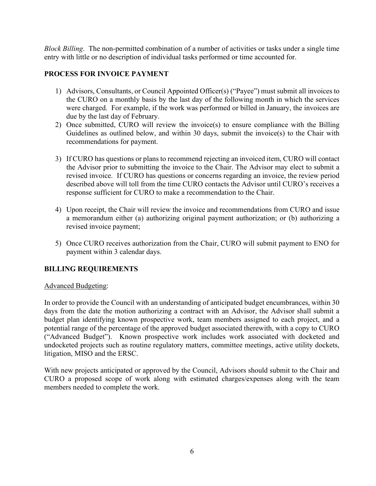Block Billing. The non-permitted combination of a number of activities or tasks under a single time entry with little or no description of individual tasks performed or time accounted for.

# PROCESS FOR INVOICE PAYMENT

- 1) Advisors, Consultants, or Council Appointed Officer(s) ("Payee") must submit all invoices to the CURO on a monthly basis by the last day of the following month in which the services were charged. For example, if the work was performed or billed in January, the invoices are due by the last day of February.
- 2) Once submitted, CURO will review the invoice(s) to ensure compliance with the Billing Guidelines as outlined below, and within 30 days, submit the invoice(s) to the Chair with recommendations for payment.
- 3) If CURO has questions or plans to recommend rejecting an invoiced item, CURO will contact the Advisor prior to submitting the invoice to the Chair. The Advisor may elect to submit a revised invoice. If CURO has questions or concerns regarding an invoice, the review period described above will toll from the time CURO contacts the Advisor until CURO's receives a response sufficient for CURO to make a recommendation to the Chair.
- 4) Upon receipt, the Chair will review the invoice and recommendations from CURO and issue a memorandum either (a) authorizing original payment authorization; or (b) authorizing a revised invoice payment;
- 5) Once CURO receives authorization from the Chair, CURO will submit payment to ENO for payment within 3 calendar days.

# BILLING REQUIREMENTS

# Advanced Budgeting:

In order to provide the Council with an understanding of anticipated budget encumbrances, within 30 days from the date the motion authorizing a contract with an Advisor, the Advisor shall submit a budget plan identifying known prospective work, team members assigned to each project, and a potential range of the percentage of the approved budget associated therewith, with a copy to CURO ("Advanced Budget"). Known prospective work includes work associated with docketed and undocketed projects such as routine regulatory matters, committee meetings, active utility dockets, litigation, MISO and the ERSC.

With new projects anticipated or approved by the Council, Advisors should submit to the Chair and CURO a proposed scope of work along with estimated charges/expenses along with the team members needed to complete the work.